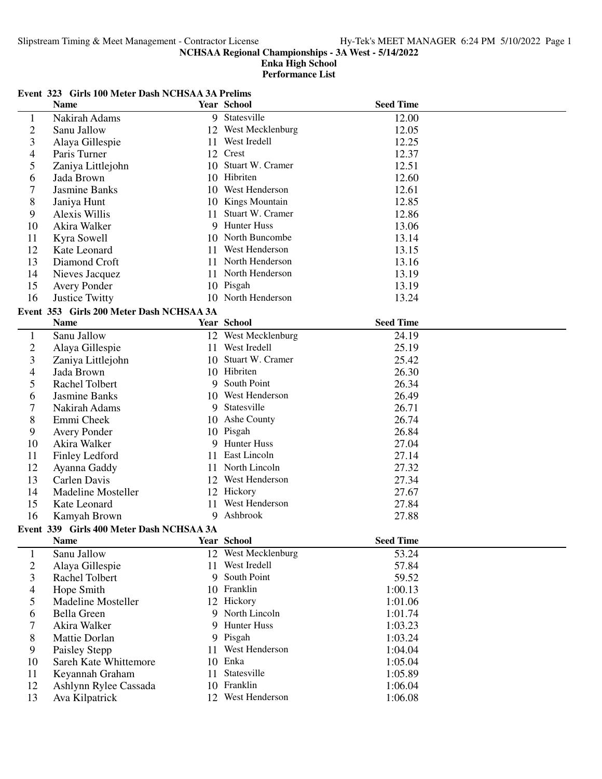#### **Enka High School Performance List**

# **Event 323 Girls 100 Meter Dash NCHSAA 3A Prelims**

|                | <b>Name</b>                              |     | <b>Year School</b>  | <b>Seed Time</b> |  |
|----------------|------------------------------------------|-----|---------------------|------------------|--|
| $\mathbf{1}$   | Nakirah Adams                            |     | 9 Statesville       | 12.00            |  |
| $\overline{c}$ | Sanu Jallow                              |     | 12 West Mecklenburg | 12.05            |  |
| 3              | Alaya Gillespie                          | 11  | West Iredell        | 12.25            |  |
| 4              | Paris Turner                             |     | 12 Crest            | 12.37            |  |
| 5              | Zaniya Littlejohn                        | 10  | Stuart W. Cramer    | 12.51            |  |
| 6              | Jada Brown                               |     | 10 Hibriten         | 12.60            |  |
| 7              | Jasmine Banks                            |     | 10 West Henderson   | 12.61            |  |
| 8              | Janiya Hunt                              |     | 10 Kings Mountain   | 12.85            |  |
| 9              | Alexis Willis                            | 11. | Stuart W. Cramer    | 12.86            |  |
| 10             | Akira Walker                             | 9   | <b>Hunter Huss</b>  | 13.06            |  |
| 11             | Kyra Sowell                              |     | 10 North Buncombe   | 13.14            |  |
| 12             | Kate Leonard                             | 11. | West Henderson      | 13.15            |  |
| 13             | Diamond Croft                            |     | 11 North Henderson  | 13.16            |  |
| 14             | Nieves Jacquez                           |     | 11 North Henderson  | 13.19            |  |
| 15             | <b>Avery Ponder</b>                      |     | 10 Pisgah           | 13.19            |  |
| 16             | Justice Twitty                           |     | 10 North Henderson  | 13.24            |  |
|                | Event 353 Girls 200 Meter Dash NCHSAA 3A |     |                     |                  |  |
|                | <b>Name</b>                              |     | <b>Year School</b>  | <b>Seed Time</b> |  |
| $\mathbf{1}$   | Sanu Jallow                              |     | 12 West Mecklenburg | 24.19            |  |
| $\overline{c}$ | Alaya Gillespie                          |     | 11 West Iredell     | 25.19            |  |
| 3              | Zaniya Littlejohn                        |     | 10 Stuart W. Cramer | 25.42            |  |
| 4              | Jada Brown                               |     | 10 Hibriten         | 26.30            |  |
| 5              | Rachel Tolbert                           |     | 9 South Point       | 26.34            |  |
| 6              | Jasmine Banks                            |     | 10 West Henderson   | 26.49            |  |
| 7              | Nakirah Adams                            |     | 9 Statesville       | 26.71            |  |
| 8              | Emmi Cheek                               |     | 10 Ashe County      | 26.74            |  |
| 9              | <b>Avery Ponder</b>                      |     | 10 Pisgah           | 26.84            |  |
| 10             | Akira Walker                             | 9   | <b>Hunter Huss</b>  | 27.04            |  |
| 11             | <b>Finley Ledford</b>                    | 11  | East Lincoln        | 27.14            |  |
| 12             | Ayanna Gaddy                             |     | 11 North Lincoln    | 27.32            |  |
| 13             | Carlen Davis                             |     | 12 West Henderson   | 27.34            |  |
| 14             | <b>Madeline Mosteller</b>                |     | 12 Hickory          | 27.67            |  |
| 15             | Kate Leonard                             | 11  | West Henderson      | 27.84            |  |
| 16             | Kamyah Brown                             |     | 9 Ashbrook          | 27.88            |  |
|                | Event 339 Girls 400 Meter Dash NCHSAA 3A |     |                     |                  |  |
|                | Name                                     |     | Year School         | <b>Seed Time</b> |  |
| $\mathbf{1}$   | Sanu Jallow                              |     | 12 West Mecklenburg | 53.24            |  |
| $\overline{c}$ | Alaya Gillespie                          |     | 11 West Iredell     | 57.84            |  |
| 3              | Rachel Tolbert                           |     | 9 South Point       | 59.52            |  |
| 4              | Hope Smith                               |     | 10 Franklin         | 1:00.13          |  |
| 5              | <b>Madeline Mosteller</b>                |     | 12 Hickory          | 1:01.06          |  |
| 6              | <b>Bella Green</b>                       |     | 9 North Lincoln     | 1:01.74          |  |
| 7              | Akira Walker                             |     | 9 Hunter Huss       | 1:03.23          |  |
| 8              | Mattie Dorlan                            |     | 9 Pisgah            | 1:03.24          |  |
| 9              | Paisley Stepp                            |     | 11 West Henderson   | 1:04.04          |  |
| 10             | Sareh Kate Whittemore                    |     | 10 Enka             | 1:05.04          |  |
| 11             | Keyannah Graham                          | 11  | Statesville         | 1:05.89          |  |
| 12             | Ashlynn Rylee Cassada                    |     | 10 Franklin         | 1:06.04          |  |
| 13             | Ava Kilpatrick                           |     | 12 West Henderson   | 1:06.08          |  |
|                |                                          |     |                     |                  |  |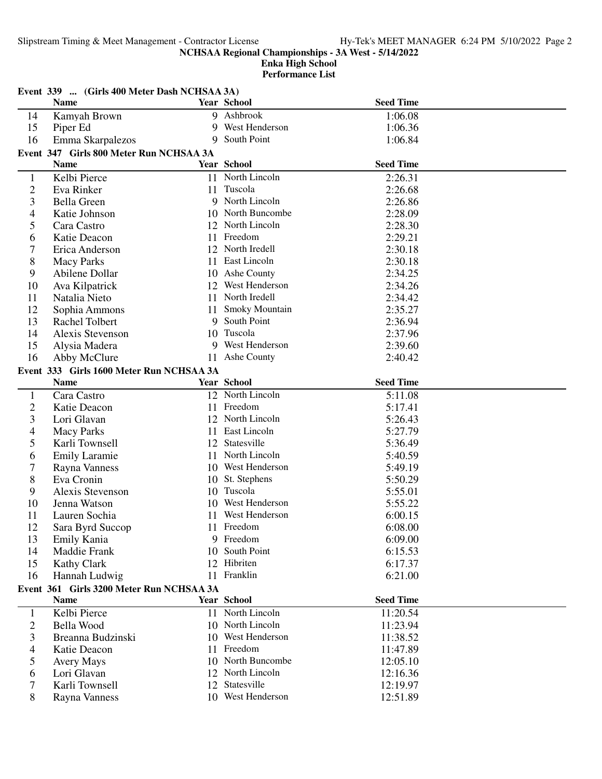Slipstream Timing & Meet Management - Contractor License Hy-Tek's MEET MANAGER 6:24 PM 5/10/2022 Page 2

**NCHSAA Regional Championships - 3A West - 5/14/2022**

|                | Event 339  (Girls 400 Meter Dash NCHSAA 3A) |     |                    |                  |  |  |  |
|----------------|---------------------------------------------|-----|--------------------|------------------|--|--|--|
|                | <b>Name</b>                                 |     | Year School        | <b>Seed Time</b> |  |  |  |
| 14             | Kamyah Brown                                |     | 9 Ashbrook         | 1:06.08          |  |  |  |
| 15             | Piper Ed                                    |     | 9 West Henderson   | 1:06.36          |  |  |  |
| 16             | Emma Skarpalezos                            |     | 9 South Point      | 1:06.84          |  |  |  |
|                | Event 347 Girls 800 Meter Run NCHSAA 3A     |     |                    |                  |  |  |  |
|                | <b>Name</b>                                 |     | <b>Year School</b> | <b>Seed Time</b> |  |  |  |
| $\mathbf{1}$   | Kelbi Pierce                                |     | 11 North Lincoln   | 2:26.31          |  |  |  |
| $\overline{c}$ | Eva Rinker                                  |     | 11 Tuscola         | 2:26.68          |  |  |  |
| 3              | <b>Bella Green</b>                          |     | 9 North Lincoln    | 2:26.86          |  |  |  |
| 4              | Katie Johnson                               |     | 10 North Buncombe  | 2:28.09          |  |  |  |
| 5              | Cara Castro                                 |     | 12 North Lincoln   | 2:28.30          |  |  |  |
| 6              | Katie Deacon                                |     | 11 Freedom         | 2:29.21          |  |  |  |
| 7              | Erica Anderson                              |     | 12 North Iredell   | 2:30.18          |  |  |  |
| 8              | <b>Macy Parks</b>                           |     | 11 East Lincoln    | 2:30.18          |  |  |  |
| 9              | Abilene Dollar                              |     | 10 Ashe County     | 2:34.25          |  |  |  |
| 10             | Ava Kilpatrick                              |     | 12 West Henderson  | 2:34.26          |  |  |  |
| 11             | Natalia Nieto                               | 11  | North Iredell      | 2:34.42          |  |  |  |
| 12             | Sophia Ammons                               | 11  | Smoky Mountain     | 2:35.27          |  |  |  |
| 13             | Rachel Tolbert                              | 9   | South Point        | 2:36.94          |  |  |  |
| 14             | Alexis Stevenson                            | 10  | Tuscola            | 2:37.96          |  |  |  |
| 15             | Alysia Madera                               |     | 9 West Henderson   | 2:39.60          |  |  |  |
| 16             | Abby McClure                                | 11  | Ashe County        | 2:40.42          |  |  |  |
|                | Event 333 Girls 1600 Meter Run NCHSAA 3A    |     |                    |                  |  |  |  |
|                | <b>Name</b>                                 |     | Year School        | <b>Seed Time</b> |  |  |  |
| $\mathbf{1}$   | Cara Castro                                 |     | 12 North Lincoln   | 5:11.08          |  |  |  |
| $\overline{c}$ | Katie Deacon                                |     | 11 Freedom         | 5:17.41          |  |  |  |
| 3              | Lori Glavan                                 |     | 12 North Lincoln   | 5:26.43          |  |  |  |
| 4              | <b>Macy Parks</b>                           | 11  | East Lincoln       | 5:27.79          |  |  |  |
| 5              | Karli Townsell                              |     | 12 Statesville     | 5:36.49          |  |  |  |
| 6              | <b>Emily Laramie</b>                        | 11  | North Lincoln      | 5:40.59          |  |  |  |
| 7              | Rayna Vanness                               |     | 10 West Henderson  | 5:49.19          |  |  |  |
| 8              | Eva Cronin                                  |     | 10 St. Stephens    | 5:50.29          |  |  |  |
| 9              | Alexis Stevenson                            |     | 10 Tuscola         | 5:55.01          |  |  |  |
| 10             | Jenna Watson                                |     | 10 West Henderson  | 5:55.22          |  |  |  |
| 11             | Lauren Sochia                               |     | 11 West Henderson  | 6:00.15          |  |  |  |
| 12             | Sara Byrd Succop                            |     | 11 Freedom         | 6:08.00          |  |  |  |
| 13             | Emily Kania                                 |     | 9 Freedom          | 6:09.00          |  |  |  |
| 14             | Maddie Frank                                | 10  | South Point        | 6:15.53          |  |  |  |
| 15             | <b>Kathy Clark</b>                          | 12  | Hibriten           | 6:17.37          |  |  |  |
| 16             | Hannah Ludwig                               |     | 11 Franklin        | 6:21.00          |  |  |  |
|                | Event 361 Girls 3200 Meter Run NCHSAA 3A    |     |                    |                  |  |  |  |
|                | <b>Name</b>                                 |     | <b>Year School</b> | <b>Seed Time</b> |  |  |  |
| $\mathbf{1}$   | Kelbi Pierce                                |     | 11 North Lincoln   | 11:20.54         |  |  |  |
| $\overline{c}$ | Bella Wood                                  |     | 10 North Lincoln   | 11:23.94         |  |  |  |
| 3              | Breanna Budzinski                           | 10  | West Henderson     | 11:38.52         |  |  |  |
| 4              | Katie Deacon                                | 11. | Freedom            | 11:47.89         |  |  |  |
| 5              | <b>Avery Mays</b>                           |     | 10 North Buncombe  | 12:05.10         |  |  |  |
| 6              | Lori Glavan                                 |     | 12 North Lincoln   | 12:16.36         |  |  |  |
| 7              | Karli Townsell                              |     | 12 Statesville     | 12:19.97         |  |  |  |
| 8              | <b>Rayna Vanness</b>                        |     | 10 West Henderson  | 12:51.89         |  |  |  |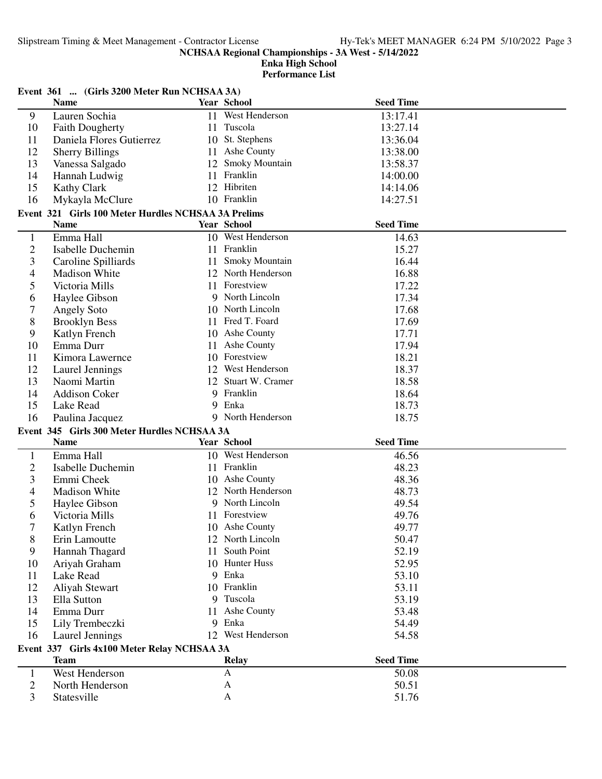| Event 361  (Girls 3200 Meter Run NCHSAA 3A)<br><b>Seed Time</b><br><b>Name</b><br><b>Year School</b><br>11 West Henderson<br>Lauren Sochia<br>13:17.41<br>9<br>10<br>11 Tuscola<br>13:27.14<br><b>Faith Dougherty</b><br>10 St. Stephens<br>13:36.04<br>Daniela Flores Gutierrez<br>11<br>12<br><b>Sherry Billings</b><br>11 Ashe County<br>13:38.00 |  |
|------------------------------------------------------------------------------------------------------------------------------------------------------------------------------------------------------------------------------------------------------------------------------------------------------------------------------------------------------|--|
|                                                                                                                                                                                                                                                                                                                                                      |  |
|                                                                                                                                                                                                                                                                                                                                                      |  |
|                                                                                                                                                                                                                                                                                                                                                      |  |
|                                                                                                                                                                                                                                                                                                                                                      |  |
|                                                                                                                                                                                                                                                                                                                                                      |  |
| 12 Smoky Mountain<br>13<br>Vanessa Salgado<br>13:58.37                                                                                                                                                                                                                                                                                               |  |
| 11 Franklin<br>14<br>Hannah Ludwig<br>14:00.00                                                                                                                                                                                                                                                                                                       |  |
| 12 Hibriten<br>15<br><b>Kathy Clark</b><br>14:14.06                                                                                                                                                                                                                                                                                                  |  |
| 10 Franklin<br>14:27.51<br>16<br>Mykayla McClure                                                                                                                                                                                                                                                                                                     |  |
| Event 321 Girls 100 Meter Hurdles NCHSAA 3A Prelims                                                                                                                                                                                                                                                                                                  |  |
| <b>Year School</b><br><b>Seed Time</b><br><b>Name</b>                                                                                                                                                                                                                                                                                                |  |
| Emma Hall<br>10 West Henderson<br>$\mathbf{1}$<br>14.63                                                                                                                                                                                                                                                                                              |  |
| $\overline{2}$<br>11 Franklin<br>Isabelle Duchemin<br>15.27                                                                                                                                                                                                                                                                                          |  |
| <b>Smoky Mountain</b><br>3<br>Caroline Spilliards<br>16.44<br>11                                                                                                                                                                                                                                                                                     |  |
| 12 North Henderson<br>16.88<br><b>Madison White</b><br>4                                                                                                                                                                                                                                                                                             |  |
| 11 Forestview<br>17.22<br>5<br>Victoria Mills                                                                                                                                                                                                                                                                                                        |  |
| 9 North Lincoln<br>17.34<br>Haylee Gibson<br>6                                                                                                                                                                                                                                                                                                       |  |
| 7<br>10 North Lincoln<br>17.68<br>Angely Soto                                                                                                                                                                                                                                                                                                        |  |
| 11 Fred T. Foard<br>17.69<br>8<br><b>Brooklyn Bess</b>                                                                                                                                                                                                                                                                                               |  |
| 10 Ashe County<br>9<br>17.71<br>Katlyn French                                                                                                                                                                                                                                                                                                        |  |
| Ashe County<br>Emma Durr<br>17.94<br>10<br>11                                                                                                                                                                                                                                                                                                        |  |
| 10 Forestview<br>18.21<br>Kimora Lawernce<br>11                                                                                                                                                                                                                                                                                                      |  |
| 12 West Henderson<br>18.37<br>12<br>Laurel Jennings                                                                                                                                                                                                                                                                                                  |  |
| Naomi Martin<br>12 Stuart W. Cramer<br>18.58<br>13                                                                                                                                                                                                                                                                                                   |  |
| 9 Franklin<br>18.64<br>Addison Coker<br>14                                                                                                                                                                                                                                                                                                           |  |
| 9 Enka<br>18.73<br>15<br>Lake Read                                                                                                                                                                                                                                                                                                                   |  |
| 9 North Henderson<br>18.75<br>16<br>Paulina Jacquez                                                                                                                                                                                                                                                                                                  |  |
| Event 345 Girls 300 Meter Hurdles NCHSAA 3A                                                                                                                                                                                                                                                                                                          |  |
| <b>Seed Time</b><br>Year School<br><b>Name</b>                                                                                                                                                                                                                                                                                                       |  |
| 10 West Henderson<br>Emma Hall<br>46.56<br>1                                                                                                                                                                                                                                                                                                         |  |
| $\overline{2}$<br>11 Franklin<br><b>Isabelle Duchemin</b><br>48.23                                                                                                                                                                                                                                                                                   |  |
| 3<br>10 Ashe County<br>Emmi Cheek<br>48.36                                                                                                                                                                                                                                                                                                           |  |
| 12 North Henderson<br>48.73<br><b>Madison White</b><br>4                                                                                                                                                                                                                                                                                             |  |
| 9 North Lincoln<br>5<br>Haylee Gibson<br>49.54                                                                                                                                                                                                                                                                                                       |  |
|                                                                                                                                                                                                                                                                                                                                                      |  |
|                                                                                                                                                                                                                                                                                                                                                      |  |
| 11 Forestview<br>49.76<br>6<br>Victoria Mills                                                                                                                                                                                                                                                                                                        |  |
| 7<br>Katlyn French<br>10 Ashe County<br>49.77                                                                                                                                                                                                                                                                                                        |  |
| 12 North Lincoln<br>8<br>Erin Lamoutte<br>50.47<br>South Point                                                                                                                                                                                                                                                                                       |  |
| 9<br>Hannah Thagard<br>52.19<br>11                                                                                                                                                                                                                                                                                                                   |  |
| 10 Hunter Huss<br>52.95<br>10<br>Ariyah Graham                                                                                                                                                                                                                                                                                                       |  |
| 9 Enka<br>Lake Read<br>53.10<br>11                                                                                                                                                                                                                                                                                                                   |  |
| 10 Franklin<br>53.11<br>12<br>Aliyah Stewart                                                                                                                                                                                                                                                                                                         |  |
| 9 Tuscola<br>13<br>Ella Sutton<br>53.19<br>11                                                                                                                                                                                                                                                                                                        |  |
| Ashe County<br>53.48<br>Emma Durr<br>14                                                                                                                                                                                                                                                                                                              |  |
| 9 Enka<br>Lily Trembeczki<br>54.49<br>15                                                                                                                                                                                                                                                                                                             |  |
| 12 West Henderson<br>16<br>54.58<br>Laurel Jennings                                                                                                                                                                                                                                                                                                  |  |
| Event 337 Girls 4x100 Meter Relay NCHSAA 3A                                                                                                                                                                                                                                                                                                          |  |
| <b>Seed Time</b><br><b>Team</b><br><b>Relay</b><br>A                                                                                                                                                                                                                                                                                                 |  |
| West Henderson<br>50.08<br>1<br>2<br>North Henderson<br>A<br>50.51                                                                                                                                                                                                                                                                                   |  |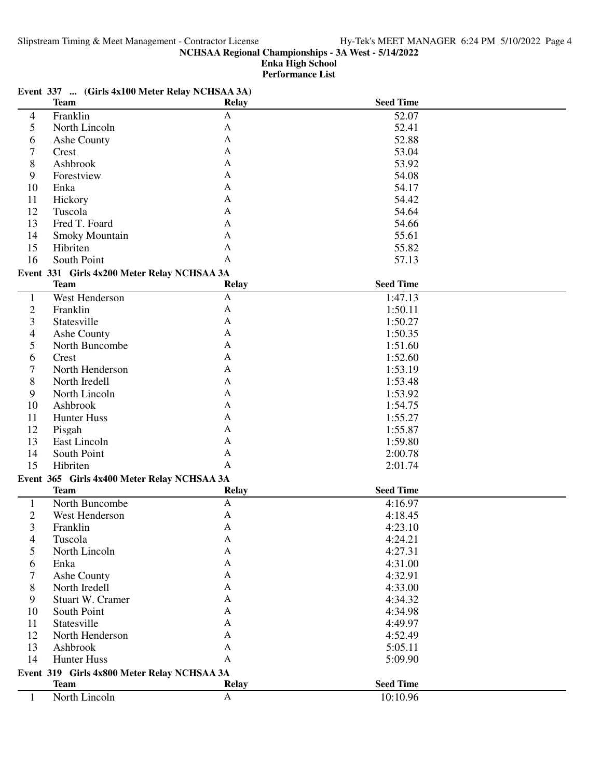**Enka High School**

**Performance List**

|                | Event 337  (Girls 4x100 Meter Relay NCHSAA 3A)<br><b>Team</b> | <b>Relay</b> | <b>Seed Time</b> |  |
|----------------|---------------------------------------------------------------|--------------|------------------|--|
| $\overline{4}$ | Franklin                                                      | $\mathbf{A}$ | 52.07            |  |
| 5              | North Lincoln                                                 | A            | 52.41            |  |
| 6              | Ashe County                                                   | A            | 52.88            |  |
| 7              | Crest                                                         | A            | 53.04            |  |
| 8              | Ashbrook                                                      | A            | 53.92            |  |
| 9              | Forestview                                                    | A            | 54.08            |  |
| 10             | Enka                                                          | A            | 54.17            |  |
| 11             |                                                               | A            | 54.42            |  |
|                | Hickory                                                       | A            |                  |  |
| 12             | Tuscola                                                       |              | 54.64            |  |
| 13             | Fred T. Foard                                                 | A            | 54.66            |  |
| 14             | Smoky Mountain                                                | A            | 55.61            |  |
| 15             | Hibriten                                                      | A            | 55.82            |  |
| 16             | South Point                                                   | A            | 57.13            |  |
|                | Event 331 Girls 4x200 Meter Relay NCHSAA 3A                   |              |                  |  |
|                | <b>Team</b>                                                   | <b>Relay</b> | <b>Seed Time</b> |  |
| $\mathbf{1}$   | West Henderson                                                | A            | 1:47.13          |  |
| $\overline{2}$ | Franklin                                                      | A            | 1:50.11          |  |
| 3              | Statesville                                                   | A            | 1:50.27          |  |
| 4              | Ashe County                                                   | A            | 1:50.35          |  |
| 5              | North Buncombe                                                | A            | 1:51.60          |  |
| 6              | Crest                                                         | A            | 1:52.60          |  |
| 7              | North Henderson                                               | A            | 1:53.19          |  |
| 8              | North Iredell                                                 | A            | 1:53.48          |  |
| 9              | North Lincoln                                                 | A            | 1:53.92          |  |
| 10             | Ashbrook                                                      | A            | 1:54.75          |  |
| 11             | <b>Hunter Huss</b>                                            | A            | 1:55.27          |  |
| 12             | Pisgah                                                        | A            | 1:55.87          |  |
| 13             | East Lincoln                                                  | A            | 1:59.80          |  |
| 14             | South Point                                                   | A            | 2:00.78          |  |
| 15             | Hibriten                                                      | A            | 2:01.74          |  |
|                | Event 365 Girls 4x400 Meter Relay NCHSAA 3A                   |              |                  |  |
|                | <b>Team</b>                                                   | <b>Relay</b> | <b>Seed Time</b> |  |
| $\mathbf{1}$   | North Buncombe                                                | A            | 4:16.97          |  |
| $\overline{2}$ | West Henderson                                                | A            | 4:18.45          |  |
| 3              | Franklin                                                      | Α            | 4:23.10          |  |
| 4              | Tuscola                                                       | A            | 4:24.21          |  |
| 5              | North Lincoln                                                 | A            | 4:27.31          |  |
| 6              | Enka                                                          | A            | 4:31.00          |  |
| 7              | Ashe County                                                   | A            | 4:32.91          |  |
| 8              | North Iredell                                                 | A            | 4:33.00          |  |
| 9              | Stuart W. Cramer                                              | A            | 4:34.32          |  |
| 10             | South Point                                                   | A            | 4:34.98          |  |
| 11             | Statesville                                                   | A            | 4:49.97          |  |
| 12             | North Henderson                                               | A            | 4:52.49          |  |
| 13             | Ashbrook                                                      | A            | 5:05.11          |  |
| 14             | <b>Hunter Huss</b>                                            | A            | 5:09.90          |  |
|                |                                                               |              |                  |  |
|                | Event 319 Girls 4x800 Meter Relay NCHSAA 3A<br><b>Team</b>    | <b>Relay</b> | <b>Seed Time</b> |  |
|                | North Lincoln                                                 | $\mathbf{A}$ | 10:10.96         |  |
| $\mathbf{1}$   |                                                               |              |                  |  |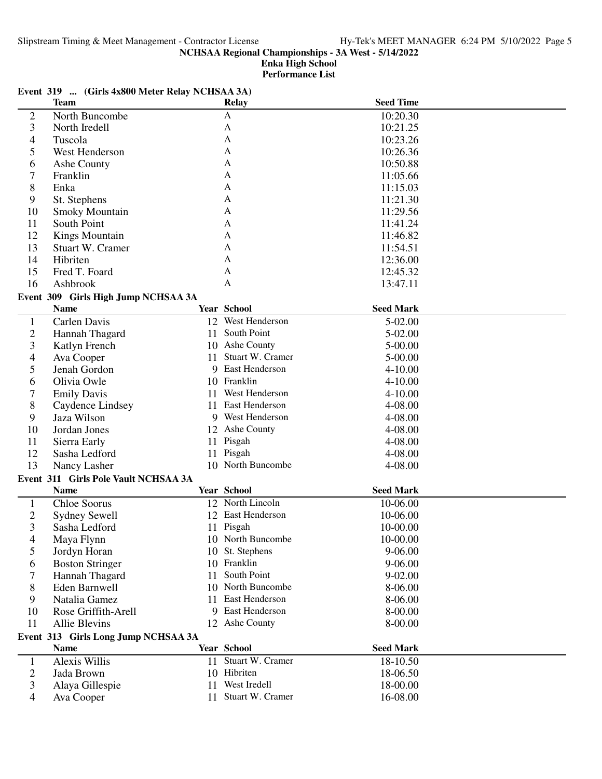**Enka High School**

**Performance List**

## **Event 319 ... (Girls 4x800 Meter Relay NCHSAA 3A)**

|                          | <b>Team</b>                          |     | Relay                                 | <b>Seed Time</b> |  |
|--------------------------|--------------------------------------|-----|---------------------------------------|------------------|--|
| $\overline{c}$           | North Buncombe                       |     | A                                     | 10:20.30         |  |
| 3                        | North Iredell                        |     | A                                     | 10:21.25         |  |
| 4                        | Tuscola                              |     | A                                     | 10:23.26         |  |
| 5                        | West Henderson                       |     | A                                     | 10:26.36         |  |
| 6                        | Ashe County                          |     | A                                     | 10:50.88         |  |
| 7                        | Franklin                             |     | A                                     | 11:05.66         |  |
| 8                        | Enka                                 |     | A                                     | 11:15.03         |  |
| 9                        | St. Stephens                         |     | A                                     | 11:21.30         |  |
| 10                       | <b>Smoky Mountain</b>                |     | A                                     | 11:29.56         |  |
| 11                       | South Point                          |     | A                                     | 11:41.24         |  |
| 12                       | <b>Kings Mountain</b>                |     | A                                     | 11:46.82         |  |
| 13                       | Stuart W. Cramer                     |     | A                                     | 11:54.51         |  |
| 14                       | Hibriten                             |     | A                                     | 12:36.00         |  |
| 15                       | Fred T. Foard                        |     | A                                     | 12:45.32         |  |
| 16                       | Ashbrook                             |     | $\mathbf{A}$                          | 13:47.11         |  |
|                          | Event 309 Girls High Jump NCHSAA 3A  |     |                                       |                  |  |
|                          | <b>Name</b>                          |     | <b>Year School</b>                    | <b>Seed Mark</b> |  |
|                          | Carlen Davis                         |     | 12 West Henderson                     | 5-02.00          |  |
| $\mathbf{1}$             |                                      | 11  | South Point                           | 5-02.00          |  |
| $\overline{c}$           | Hannah Thagard                       |     |                                       |                  |  |
| 3                        | Katlyn French                        |     | 10 Ashe County<br>11 Stuart W. Cramer | 5-00.00          |  |
| $\overline{\mathcal{A}}$ | Ava Cooper                           |     | East Henderson                        | 5-00.00          |  |
| 5                        | Jenah Gordon                         | 9   |                                       | $4 - 10.00$      |  |
| 6                        | Olivia Owle                          |     | 10 Franklin                           | 4-10.00          |  |
| 7                        | <b>Emily Davis</b>                   | 11. | West Henderson                        | $4 - 10.00$      |  |
| 8                        | Caydence Lindsey                     |     | 11 East Henderson                     | 4-08.00          |  |
| 9                        | Jaza Wilson                          |     | 9 West Henderson                      | 4-08.00          |  |
| 10                       | Jordan Jones                         |     | 12 Ashe County                        | 4-08.00          |  |
| 11                       | Sierra Early                         |     | 11 Pisgah                             | 4-08.00          |  |
| 12                       | Sasha Ledford                        |     | 11 Pisgah                             | 4-08.00          |  |
| 13                       | Nancy Lasher                         |     | 10 North Buncombe                     | 4-08.00          |  |
|                          | Event 311 Girls Pole Vault NCHSAA 3A |     |                                       |                  |  |
|                          | <b>Name</b>                          |     | Year School                           | <b>Seed Mark</b> |  |
| $\mathbf{1}$             | Chloe Soorus                         |     | 12 North Lincoln                      | 10-06.00         |  |
| $\overline{c}$           | <b>Sydney Sewell</b>                 |     | 12 East Henderson                     | 10-06.00         |  |
| 3                        | Sasha Ledford                        |     | 11 Pisgah                             | 10-00.00         |  |
| 4                        | Maya Flynn                           |     | 10 North Buncombe                     | 10-00.00         |  |
| 5                        | Jordyn Horan                         |     | 10 St. Stephens                       | $9 - 06.00$      |  |
| 6                        | <b>Boston Stringer</b>               |     | 10 Franklin                           | 9-06.00          |  |
| 7                        | Hannah Thagard                       | 11  | South Point                           | 9-02.00          |  |
| 8                        | Eden Barnwell                        | 10  | North Buncombe                        | 8-06.00          |  |
| 9                        | Natalia Gamez                        | 11  | <b>East Henderson</b>                 | 8-06.00          |  |
| 10                       | Rose Griffith-Arell                  | 9   | East Henderson                        | 8-00.00          |  |
| 11                       | <b>Allie Blevins</b>                 |     | 12 Ashe County                        | 8-00.00          |  |
|                          | Event 313 Girls Long Jump NCHSAA 3A  |     |                                       |                  |  |
|                          | <b>Name</b>                          |     | Year School                           | <b>Seed Mark</b> |  |
| $\mathbf{1}$             | Alexis Willis                        |     | 11 Stuart W. Cramer                   | 18-10.50         |  |
| $\overline{c}$           | Jada Brown                           |     | 10 Hibriten                           | 18-06.50         |  |
| 3                        | Alaya Gillespie                      | 11  | West Iredell                          | 18-00.00         |  |
| 4                        | Ava Cooper                           |     | 11 Stuart W. Cramer                   | 16-08.00         |  |
|                          |                                      |     |                                       |                  |  |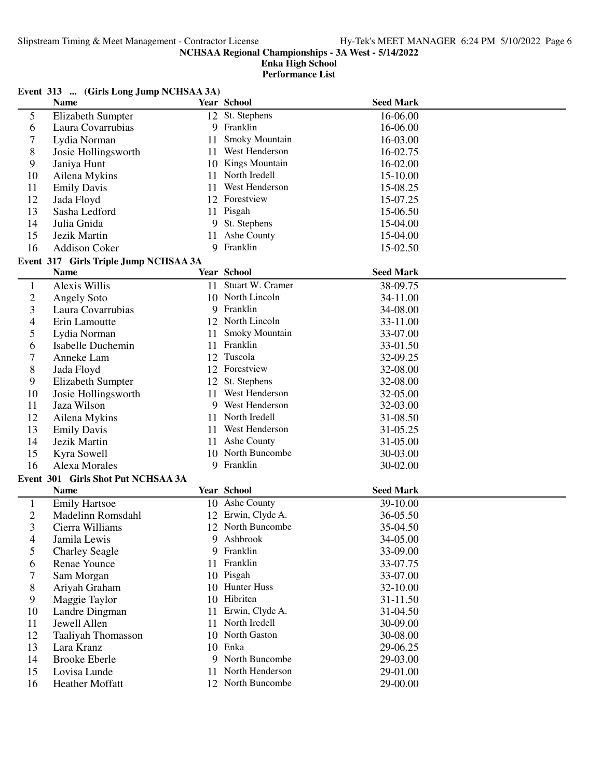|                | Event 313  (Girls Long Jump NCHSAA 3A) |     |                     |                  |  |
|----------------|----------------------------------------|-----|---------------------|------------------|--|
|                | <b>Name</b>                            |     | <b>Year School</b>  | <b>Seed Mark</b> |  |
| 5              | Elizabeth Sumpter                      |     | 12 St. Stephens     | 16-06.00         |  |
| 6              | Laura Covarrubias                      |     | 9 Franklin          | 16-06.00         |  |
| 7              | Lydia Norman                           | 11  | Smoky Mountain      | 16-03.00         |  |
| 8              | Josie Hollingsworth                    |     | 11 West Henderson   | 16-02.75         |  |
| 9              | Janiya Hunt                            | 10  | Kings Mountain      | 16-02.00         |  |
| 10             | Ailena Mykins                          | 11  | North Iredell       | 15-10.00         |  |
| 11             | <b>Emily Davis</b>                     | 11  | West Henderson      | 15-08.25         |  |
| 12             | Jada Floyd                             |     | 12 Forestview       | 15-07.25         |  |
| 13             | Sasha Ledford                          | 11  | Pisgah              | 15-06.50         |  |
| 14             | Julia Gnida                            |     | 9 St. Stephens      | 15-04.00         |  |
| 15             | Jezik Martin                           | 11  | Ashe County         | 15-04.00         |  |
| 16             | <b>Addison Coker</b>                   |     | 9 Franklin          | 15-02.50         |  |
|                | Event 317 Girls Triple Jump NCHSAA 3A  |     |                     |                  |  |
|                | <b>Name</b>                            |     | Year School         | <b>Seed Mark</b> |  |
| $\mathbf{1}$   | Alexis Willis                          |     | 11 Stuart W. Cramer | 38-09.75         |  |
| $\overline{c}$ | <b>Angely Soto</b>                     |     | 10 North Lincoln    | 34-11.00         |  |
| 3              | Laura Covarrubias                      |     | 9 Franklin          | 34-08.00         |  |
| 4              | Erin Lamoutte                          |     | 12 North Lincoln    | 33-11.00         |  |
| 5              | Lydia Norman                           | 11. | Smoky Mountain      | 33-07.00         |  |
| 6              | <b>Isabelle Duchemin</b>               |     | 11 Franklin         | 33-01.50         |  |
| 7              | Anneke Lam                             |     | 12 Tuscola          | 32-09.25         |  |
| 8              | Jada Floyd                             |     | 12 Forestview       | 32-08.00         |  |
| 9              | Elizabeth Sumpter                      |     | 12 St. Stephens     | 32-08.00         |  |
| 10             | Josie Hollingsworth                    |     | 11 West Henderson   | 32-05.00         |  |
| 11             | Jaza Wilson                            |     | 9 West Henderson    | 32-03.00         |  |
| 12             | Ailena Mykins                          |     | 11 North Iredell    | 31-08.50         |  |
| 13             | <b>Emily Davis</b>                     |     | 11 West Henderson   | 31-05.25         |  |
| 14             | Jezik Martin                           |     | 11 Ashe County      | 31-05.00         |  |
| 15             | Kyra Sowell                            |     | 10 North Buncombe   | 30-03.00         |  |
| 16             | <b>Alexa Morales</b>                   | 9   | Franklin            | 30-02.00         |  |
|                |                                        |     |                     |                  |  |
|                | Event 301 Girls Shot Put NCHSAA 3A     |     | Year School         | <b>Seed Mark</b> |  |
|                | <b>Name</b>                            |     |                     |                  |  |
| $\mathbf{1}$   | <b>Emily Hartsoe</b>                   |     | 10 Ashe County      | 39-10.00         |  |
| $\overline{2}$ | Madelinn Romsdahl                      |     | 12 Erwin, Clyde A.  | 36-05.50         |  |
| 3              | Cierra Williams                        |     | 12 North Buncombe   | 35-04.50         |  |
| 4              | Jamila Lewis                           |     | 9 Ashbrook          | 34-05.00         |  |
| 5              | <b>Charley Seagle</b>                  | 9   | Franklin            | 33-09.00         |  |
| 6              | Renae Younce                           | 11  | Franklin            | 33-07.75         |  |
| 7              | Sam Morgan                             |     | 10 Pisgah           | 33-07.00         |  |
| 8              | Ariyah Graham                          |     | 10 Hunter Huss      | 32-10.00         |  |
| 9              | Maggie Taylor                          | 10  | Hibriten            | 31-11.50         |  |
| 10             | Landre Dingman                         | 11  | Erwin, Clyde A.     | 31-04.50         |  |
| 11             | Jewell Allen                           |     | 11 North Iredell    | 30-09.00         |  |
| 12             | Taaliyah Thomasson                     |     | 10 North Gaston     | 30-08.00         |  |
| 13             | Lara Kranz                             | 10  | Enka                | 29-06.25         |  |
| 14             | <b>Brooke Eberle</b>                   |     | 9 North Buncombe    | 29-03.00         |  |
| 15             | Lovisa Lunde                           |     | 11 North Henderson  | 29-01.00         |  |
| 16             | Heather Moffatt                        |     | 12 North Buncombe   | 29-00.00         |  |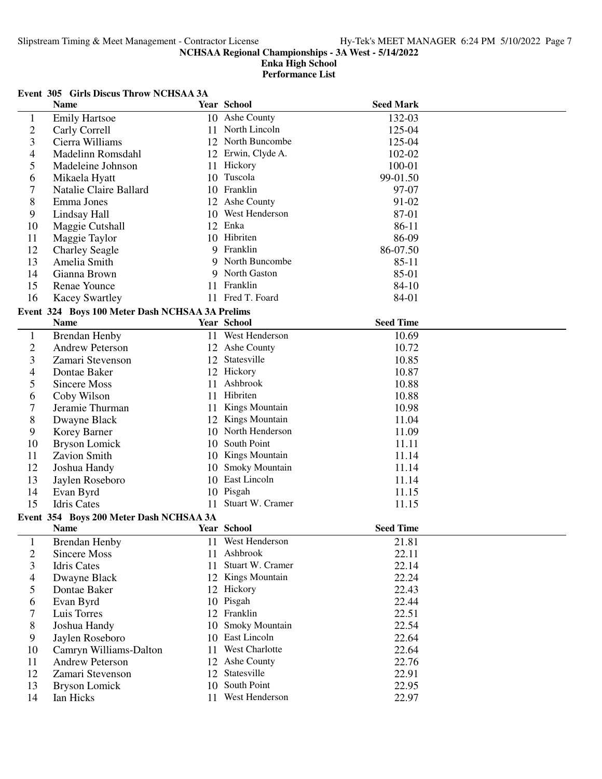## **Enka High School Performance List**

# **Event 305 Girls Discus Throw NCHSAA 3A**

|                          | <b>Name</b>                                            |    | Year School                      | <b>Seed Mark</b> |  |
|--------------------------|--------------------------------------------------------|----|----------------------------------|------------------|--|
| 1                        | <b>Emily Hartsoe</b>                                   |    | 10 Ashe County                   | 132-03           |  |
| $\overline{c}$           | Carly Correll                                          |    | 11 North Lincoln                 | 125-04           |  |
| 3                        | Cierra Williams                                        |    | 12 North Buncombe                | 125-04           |  |
| $\overline{\mathcal{A}}$ | Madelinn Romsdahl                                      |    | 12 Erwin, Clyde A.               | 102-02           |  |
| 5                        | Madeleine Johnson                                      |    | 11 Hickory                       | 100-01           |  |
| 6                        | Mikaela Hyatt                                          |    | 10 Tuscola                       | 99-01.50         |  |
| 7                        | Natalie Claire Ballard                                 |    | 10 Franklin                      | 97-07            |  |
| 8                        | Emma Jones                                             |    | 12 Ashe County                   | 91-02            |  |
| 9                        | Lindsay Hall                                           |    | 10 West Henderson                | 87-01            |  |
| 10                       | Maggie Cutshall                                        |    | 12 Enka                          | 86-11            |  |
| 11                       | Maggie Taylor                                          |    | 10 Hibriten                      | 86-09            |  |
| 12                       | <b>Charley Seagle</b>                                  | 9  | Franklin                         | 86-07.50         |  |
| 13                       | Amelia Smith                                           | 9  | North Buncombe                   | $85 - 11$        |  |
| 14                       | Gianna Brown                                           |    | 9 North Gaston                   | 85-01            |  |
| 15                       | Renae Younce                                           |    | 11 Franklin                      | 84-10            |  |
| 16                       | <b>Kacey Swartley</b>                                  |    | 11 Fred T. Foard                 | 84-01            |  |
|                          | Event 324 Boys 100 Meter Dash NCHSAA 3A Prelims        |    |                                  |                  |  |
|                          | <b>Name</b>                                            |    | <b>Year School</b>               | <b>Seed Time</b> |  |
| $\mathbf{1}$             | <b>Brendan Henby</b>                                   |    | 11 West Henderson                | 10.69            |  |
| $\overline{c}$           | <b>Andrew Peterson</b>                                 |    | 12 Ashe County                   | 10.72            |  |
| 3                        | Zamari Stevenson                                       |    | 12 Statesville                   | 10.85            |  |
| 4                        | Dontae Baker                                           |    | 12 Hickory                       | 10.87            |  |
| 5                        | <b>Sincere Moss</b>                                    | 11 | Ashbrook                         | 10.88            |  |
| 6                        | Coby Wilson                                            |    | 11 Hibriten                      | 10.88            |  |
| 7                        | Jeramie Thurman                                        | 11 | Kings Mountain                   | 10.98            |  |
| 8                        | Dwayne Black                                           |    | 12 Kings Mountain                | 11.04            |  |
| 9                        | Korey Barner                                           |    | 10 North Henderson               | 11.09            |  |
| 10                       | <b>Bryson Lomick</b>                                   |    | 10 South Point                   | 11.11            |  |
| 11                       | Zavion Smith                                           |    | 10 Kings Mountain                | 11.14            |  |
| 12                       | Joshua Handy                                           | 10 | <b>Smoky Mountain</b>            | 11.14            |  |
| 13                       | Jaylen Roseboro                                        |    | 10 East Lincoln                  | 11.14            |  |
| 14                       | Evan Byrd                                              |    | 10 Pisgah                        | 11.15            |  |
| 15                       | Idris Cates                                            | 11 | Stuart W. Cramer                 | 11.15            |  |
|                          |                                                        |    |                                  |                  |  |
|                          | Event 354 Boys 200 Meter Dash NCHSAA 3A<br><b>Name</b> |    | Year School                      | <b>Seed Time</b> |  |
|                          |                                                        |    |                                  |                  |  |
| $\mathbf{1}$             | <b>Brendan Henby</b>                                   |    | 11 West Henderson<br>11 Ashbrook | 21.81            |  |
| $\overline{c}$           | Sincere Moss                                           |    | 11 Stuart W. Cramer              | 22.11            |  |
| 3                        | Idris Cates                                            |    |                                  | 22.14            |  |
| 4                        | Dwayne Black                                           |    | 12 Kings Mountain                | 22.24            |  |
| 5                        | Dontae Baker                                           |    | 12 Hickory                       | 22.43            |  |
| 6                        | Evan Byrd                                              |    | 10 Pisgah                        | 22.44            |  |
| 7                        | Luis Torres                                            |    | 12 Franklin                      | 22.51            |  |
| 8                        | Joshua Handy                                           |    | 10 Smoky Mountain                | 22.54            |  |
| 9                        | Jaylen Roseboro                                        |    | 10 East Lincoln                  | 22.64            |  |
| 10                       | Camryn Williams-Dalton                                 | 11 | West Charlotte                   | 22.64            |  |
| 11                       | <b>Andrew Peterson</b>                                 |    | 12 Ashe County                   | 22.76            |  |
| 12                       | Zamari Stevenson                                       |    | 12 Statesville                   | 22.91            |  |
| 13                       | <b>Bryson Lomick</b>                                   |    | 10 South Point                   | 22.95            |  |
| 14                       | Ian Hicks                                              |    | 11 West Henderson                | 22.97            |  |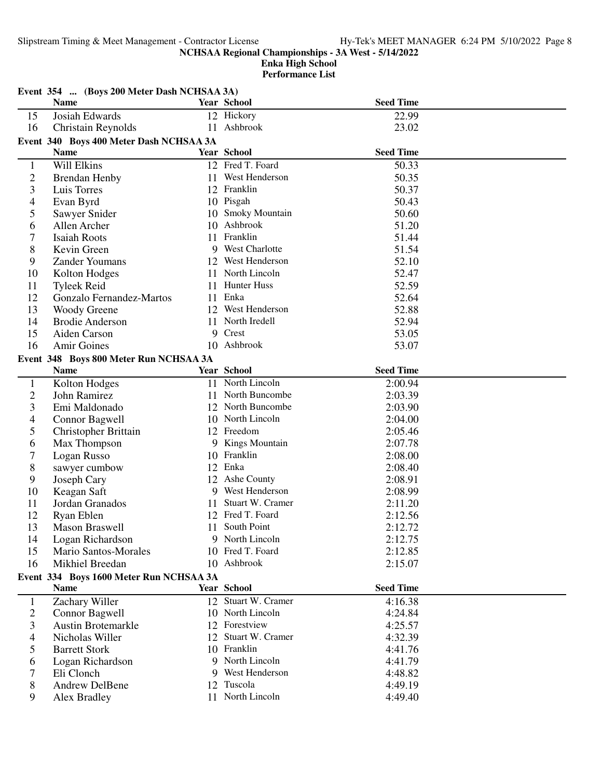Slipstream Timing & Meet Management - Contractor License Hy-Tek's MEET MANAGER 6:24 PM 5/10/2022 Page 8

**NCHSAA Regional Championships - 3A West - 5/14/2022**

|                | Event 354  (Boys 200 Meter Dash NCHSAA 3A) |   |                     |                  |  |
|----------------|--------------------------------------------|---|---------------------|------------------|--|
|                | <b>Name</b>                                |   | Year School         | <b>Seed Time</b> |  |
| 15             | Josiah Edwards                             |   | 12 Hickory          | 22.99            |  |
| 16             | Christain Reynolds                         |   | 11 Ashbrook         | 23.02            |  |
|                | Event 340 Boys 400 Meter Dash NCHSAA 3A    |   |                     |                  |  |
|                | <b>Name</b>                                |   | Year School         | <b>Seed Time</b> |  |
| $\mathbf{1}$   | Will Elkins                                |   | 12 Fred T. Foard    | 50.33            |  |
| $\overline{c}$ | <b>Brendan Henby</b>                       |   | 11 West Henderson   | 50.35            |  |
| 3              | Luis Torres                                |   | 12 Franklin         | 50.37            |  |
| 4              | Evan Byrd                                  |   | 10 Pisgah           | 50.43            |  |
| 5              | Sawyer Snider                              |   | 10 Smoky Mountain   | 50.60            |  |
| 6              | Allen Archer                               |   | 10 Ashbrook         | 51.20            |  |
| 7              | <b>Isaiah Roots</b>                        |   | 11 Franklin         | 51.44            |  |
| 8              | Kevin Green                                |   | 9 West Charlotte    | 51.54            |  |
| 9              | <b>Zander Youmans</b>                      |   | 12 West Henderson   | 52.10            |  |
| 10             | Kolton Hodges                              |   | 11 North Lincoln    | 52.47            |  |
| 11             | <b>Tyleek Reid</b>                         |   | 11 Hunter Huss      | 52.59            |  |
| 12             | Gonzalo Fernandez-Martos                   |   | 11 Enka             | 52.64            |  |
| 13             | <b>Woody Greene</b>                        |   | 12 West Henderson   | 52.88            |  |
| 14             | <b>Brodie Anderson</b>                     |   | 11 North Iredell    | 52.94            |  |
| 15             | Aiden Carson                               | 9 | Crest               | 53.05            |  |
| 16             | Amir Goines                                |   | 10 Ashbrook         | 53.07            |  |
|                | Event 348 Boys 800 Meter Run NCHSAA 3A     |   |                     |                  |  |
|                | <b>Name</b>                                |   | <b>Year School</b>  | <b>Seed Time</b> |  |
| $\mathbf{1}$   | Kolton Hodges                              |   | 11 North Lincoln    | 2:00.94          |  |
| $\overline{2}$ | John Ramirez                               |   | 11 North Buncombe   | 2:03.39          |  |
| 3              | Emi Maldonado                              |   | 12 North Buncombe   | 2:03.90          |  |
| 4              | Connor Bagwell                             |   | 10 North Lincoln    | 2:04.00          |  |
| 5              | <b>Christopher Brittain</b>                |   | 12 Freedom          | 2:05.46          |  |
| 6              | Max Thompson                               |   | 9 Kings Mountain    | 2:07.78          |  |
| 7              | Logan Russo                                |   | 10 Franklin         | 2:08.00          |  |
| 8              | sawyer cumbow                              |   | 12 Enka             | 2:08.40          |  |
| 9              | Joseph Cary                                |   | 12 Ashe County      | 2:08.91          |  |
| 10             | Keagan Saft                                | 9 | West Henderson      | 2:08.99          |  |
| 11             | Jordan Granados                            |   | 11 Stuart W. Cramer | 2:11.20          |  |
| 12             | Ryan Eblen                                 |   | 12 Fred T. Foard    | 2:12.56          |  |
| 13             | Mason Braswell                             |   | 11 South Point      | 2:12.72          |  |
| 14             | Logan Richardson                           |   | 9 North Lincoln     | 2:12.75          |  |
| 15             | Mario Santos-Morales                       |   | 10 Fred T. Foard    | 2:12.85          |  |
| 16             | Mikhiel Breedan                            |   | 10 Ashbrook         | 2:15.07          |  |
|                | Event 334 Boys 1600 Meter Run NCHSAA 3A    |   |                     |                  |  |
|                | <b>Name</b>                                |   | Year School         | <b>Seed Time</b> |  |
| $\mathbf{1}$   | Zachary Willer                             |   | 12 Stuart W. Cramer | 4:16.38          |  |
| $\overline{c}$ | Connor Bagwell                             |   | 10 North Lincoln    | 4:24.84          |  |
| 3              | <b>Austin Brotemarkle</b>                  |   | 12 Forestview       | 4:25.57          |  |
| 4              | Nicholas Willer                            |   | 12 Stuart W. Cramer | 4:32.39          |  |
| 5              | <b>Barrett Stork</b>                       |   | 10 Franklin         | 4:41.76          |  |
| 6              | Logan Richardson                           |   | 9 North Lincoln     | 4:41.79          |  |
| 7              | Eli Clonch                                 |   | 9 West Henderson    | 4:48.82          |  |
| 8              | Andrew DelBene                             |   | 12 Tuscola          | 4:49.19          |  |
| 9              | Alex Bradley                               |   | 11 North Lincoln    | 4:49.40          |  |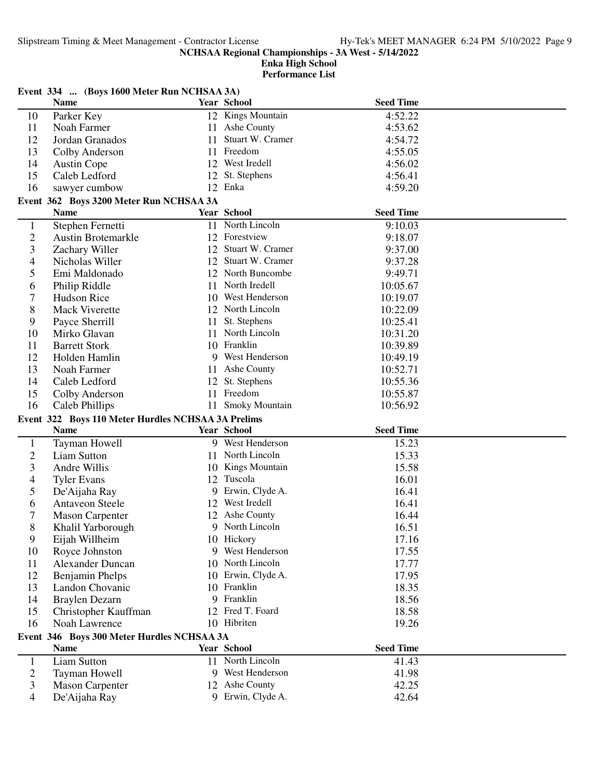|                | Event 334  (Boys 1600 Meter Run NCHSAA 3A)                        |    |                     |                  |  |
|----------------|-------------------------------------------------------------------|----|---------------------|------------------|--|
|                | <b>Name</b>                                                       |    | Year School         | <b>Seed Time</b> |  |
| 10             | Parker Key                                                        |    | 12 Kings Mountain   | 4:52.22          |  |
| 11             | Noah Farmer                                                       |    | 11 Ashe County      | 4:53.62          |  |
| 12             | Jordan Granados                                                   | 11 | Stuart W. Cramer    | 4:54.72          |  |
| 13             | Colby Anderson                                                    |    | 11 Freedom          | 4:55.05          |  |
| 14             | <b>Austin Cope</b>                                                |    | 12 West Iredell     | 4:56.02          |  |
| 15             | Caleb Ledford                                                     |    | 12 St. Stephens     | 4:56.41          |  |
| 16             | sawyer cumbow                                                     |    | 12 Enka             | 4:59.20          |  |
|                | Event 362 Boys 3200 Meter Run NCHSAA 3A                           |    |                     |                  |  |
|                | <b>Name</b>                                                       |    | Year School         | <b>Seed Time</b> |  |
| 1              | Stephen Fernetti                                                  |    | 11 North Lincoln    | 9:10.03          |  |
| $\overline{2}$ | <b>Austin Brotemarkle</b>                                         |    | 12 Forestview       | 9:18.07          |  |
| 3              | Zachary Willer                                                    |    | 12 Stuart W. Cramer | 9:37.00          |  |
| 4              | Nicholas Willer                                                   |    | 12 Stuart W. Cramer | 9:37.28          |  |
| 5              | Emi Maldonado                                                     |    | 12 North Buncombe   | 9:49.71          |  |
| 6              | Philip Riddle                                                     |    | 11 North Iredell    | 10:05.67         |  |
| 7              | Hudson Rice                                                       |    | 10 West Henderson   | 10:19.07         |  |
| 8              | <b>Mack Viverette</b>                                             |    | 12 North Lincoln    | 10:22.09         |  |
| 9              | Payce Sherrill                                                    |    | 11 St. Stephens     | 10:25.41         |  |
| 10             | Mirko Glavan                                                      |    | 11 North Lincoln    | 10:31.20         |  |
| 11             | <b>Barrett Stork</b>                                              |    | 10 Franklin         | 10:39.89         |  |
| 12             | Holden Hamlin                                                     |    | 9 West Henderson    | 10:49.19         |  |
| 13             | Noah Farmer                                                       |    | 11 Ashe County      | 10:52.71         |  |
| 14             | Caleb Ledford                                                     |    | 12 St. Stephens     | 10:55.36         |  |
| 15             | Colby Anderson                                                    |    | 11 Freedom          | 10:55.87         |  |
| 16             | Caleb Phillips                                                    |    | 11 Smoky Mountain   | 10:56.92         |  |
|                |                                                                   |    |                     |                  |  |
|                | Event 322 Boys 110 Meter Hurdles NCHSAA 3A Prelims<br><b>Name</b> |    | Year School         | <b>Seed Time</b> |  |
|                |                                                                   |    |                     |                  |  |
| 1              | Tayman Howell                                                     |    | 9 West Henderson    | 15.23            |  |
| $\mathfrak{2}$ | <b>Liam Sutton</b>                                                |    | 11 North Lincoln    | 15.33            |  |
| 3              | Andre Willis                                                      |    | 10 Kings Mountain   | 15.58            |  |
| 4              | <b>Tyler Evans</b>                                                |    | 12 Tuscola          | 16.01            |  |
| 5              | De'Aijaha Ray                                                     |    | 9 Erwin, Clyde A.   | 16.41            |  |
| 6              | <b>Antaveon Steele</b>                                            |    | 12 West Iredell     | 16.41            |  |
| 7              | <b>Mason Carpenter</b>                                            |    | 12 Ashe County      | 16.44            |  |
| 8              | Khalil Yarborough                                                 |    | 9 North Lincoln     | 16.51            |  |
| 9              | Eijah Willheim                                                    |    | 10 Hickory          | 17.16            |  |
| 10             | Royce Johnston                                                    |    | 9 West Henderson    | 17.55            |  |
| 11             | <b>Alexander Duncan</b>                                           |    | 10 North Lincoln    | 17.77            |  |
| 12             | Benjamin Phelps                                                   |    | 10 Erwin, Clyde A.  | 17.95            |  |
| 13             | Landon Chovanic                                                   |    | 10 Franklin         | 18.35            |  |
| 14             | <b>Braylen Dezarn</b>                                             |    | 9 Franklin          | 18.56            |  |
| 15             | Christopher Kauffman                                              |    | 12 Fred T. Foard    | 18.58            |  |
| 16             | Noah Lawrence                                                     |    | 10 Hibriten         | 19.26            |  |
|                | Event 346 Boys 300 Meter Hurdles NCHSAA 3A                        |    |                     |                  |  |
|                | Name                                                              |    | Year School         | <b>Seed Time</b> |  |
| 1              | <b>Liam Sutton</b>                                                |    | 11 North Lincoln    | 41.43            |  |
| 2              | Tayman Howell                                                     |    | 9 West Henderson    | 41.98            |  |
| 3              | <b>Mason Carpenter</b>                                            |    | 12 Ashe County      | 42.25            |  |
| 4              | De'Aijaha Ray                                                     |    | 9 Erwin, Clyde A.   | 42.64            |  |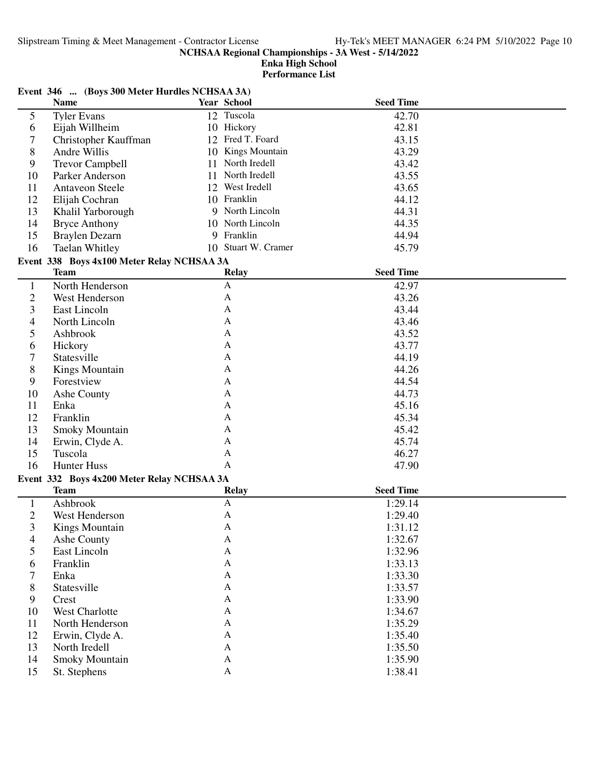|                   | Event 346  (Boys 300 Meter Hurdles NCHSAA 3A) |    |                     |                    |  |  |
|-------------------|-----------------------------------------------|----|---------------------|--------------------|--|--|
|                   | <b>Name</b>                                   |    | Year School         | <b>Seed Time</b>   |  |  |
| 5                 | <b>Tyler Evans</b>                            |    | 12 Tuscola          | 42.70              |  |  |
| 6                 | Eijah Willheim                                |    | 10 Hickory          | 42.81              |  |  |
| 7                 | Christopher Kauffman                          |    | 12 Fred T. Foard    | 43.15              |  |  |
| 8                 | Andre Willis                                  |    | 10 Kings Mountain   | 43.29              |  |  |
| 9                 | <b>Trevor Campbell</b>                        | 11 | North Iredell       | 43.42              |  |  |
| 10                | Parker Anderson                               | 11 | North Iredell       | 43.55              |  |  |
| 11                | <b>Antaveon Steele</b>                        |    | 12 West Iredell     | 43.65              |  |  |
| 12                | Elijah Cochran                                |    | 10 Franklin         | 44.12              |  |  |
| 13                | Khalil Yarborough                             |    | 9 North Lincoln     | 44.31              |  |  |
| 14                | <b>Bryce Anthony</b>                          |    | 10 North Lincoln    | 44.35              |  |  |
| 15                | Braylen Dezarn                                |    | 9 Franklin          | 44.94              |  |  |
| 16                | <b>Taelan Whitley</b>                         |    | 10 Stuart W. Cramer | 45.79              |  |  |
|                   | Event 338 Boys 4x100 Meter Relay NCHSAA 3A    |    |                     |                    |  |  |
|                   | <b>Team</b>                                   |    | <b>Relay</b>        | <b>Seed Time</b>   |  |  |
| $\mathbf{1}$      | North Henderson                               |    | A                   | 42.97              |  |  |
| $\overline{c}$    | West Henderson                                |    | A                   | 43.26              |  |  |
| 3                 | East Lincoln                                  |    | A                   | 43.44              |  |  |
| 4                 | North Lincoln                                 |    | A                   | 43.46              |  |  |
| 5                 | Ashbrook                                      |    | A                   | 43.52              |  |  |
| 6                 | Hickory                                       |    | A                   | 43.77              |  |  |
| 7                 | Statesville                                   |    | A                   | 44.19              |  |  |
| 8                 | <b>Kings Mountain</b>                         |    | A                   | 44.26              |  |  |
| 9                 | Forestview                                    |    | A                   | 44.54              |  |  |
| 10                | Ashe County                                   |    | A                   | 44.73              |  |  |
| 11                | Enka                                          |    | A                   | 45.16              |  |  |
| 12                | Franklin                                      |    | A                   | 45.34              |  |  |
| 13                | Smoky Mountain                                |    | A                   | 45.42              |  |  |
| 14                | Erwin, Clyde A.                               |    | A                   | 45.74              |  |  |
| 15                | Tuscola                                       |    | A                   | 46.27              |  |  |
| 16                | <b>Hunter Huss</b>                            |    | A                   | 47.90              |  |  |
|                   | Event 332 Boys 4x200 Meter Relay NCHSAA 3A    |    |                     |                    |  |  |
|                   | <b>Team</b>                                   |    | <b>Relay</b>        | <b>Seed Time</b>   |  |  |
| 1                 | Ashbrook                                      |    | A                   | 1:29.14            |  |  |
| $\overline{c}$    | West Henderson                                |    | A                   | 1:29.40            |  |  |
| 3                 | <b>Kings Mountain</b>                         |    | A                   | 1:31.12            |  |  |
| 4                 | Ashe County                                   |    | $\mathbf{A}$        | 1:32.67            |  |  |
| 5                 | East Lincoln                                  |    | $\mathbf{A}$        | 1:32.96            |  |  |
| 6                 | Franklin                                      |    | $\mathbf{A}$        | 1:33.13            |  |  |
| 7                 | Enka                                          |    | $\mathbf{A}$        | 1:33.30            |  |  |
|                   | Statesville                                   |    | $\mathbf{A}$        | 1:33.57            |  |  |
| 8<br>$\mathbf{9}$ | Crest                                         |    | A                   | 1:33.90            |  |  |
| 10                | <b>West Charlotte</b>                         |    | A                   | 1:34.67            |  |  |
|                   | North Henderson                               |    | A                   |                    |  |  |
| 11                |                                               |    | A                   | 1:35.29            |  |  |
| 12                | Erwin, Clyde A.<br>North Iredell              |    | A                   | 1:35.40<br>1:35.50 |  |  |
| 13                |                                               |    | $\mathbf{A}$        |                    |  |  |
| 14                | Smoky Mountain                                |    |                     | 1:35.90            |  |  |
| 15                | St. Stephens                                  |    | $\mathbf{A}$        | 1:38.41            |  |  |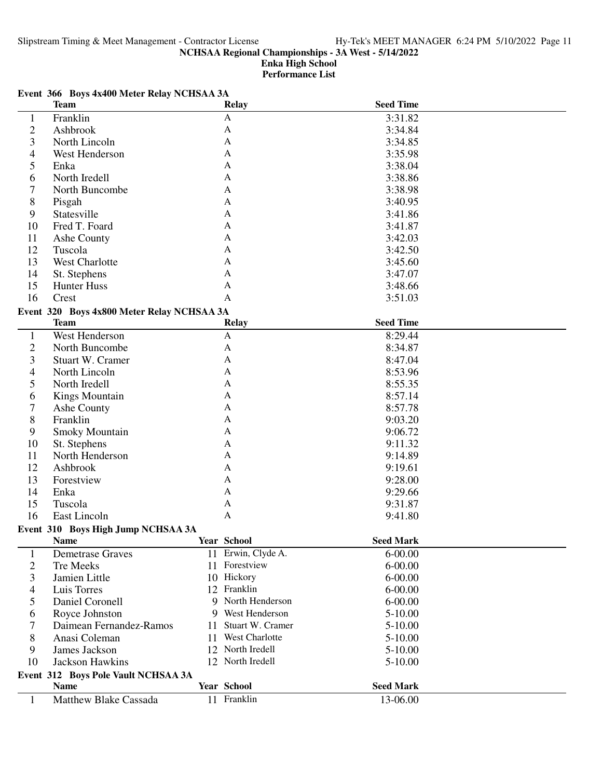**Enka High School**

**Performance List**

# **Event 366 Boys 4x400 Meter Relay NCHSAA 3A**

|                | <b>Team</b>                                |     | <b>Relay</b>       | <b>Seed Time</b> |  |
|----------------|--------------------------------------------|-----|--------------------|------------------|--|
| $\mathbf{1}$   | Franklin                                   |     | A                  | 3:31.82          |  |
| $\overline{c}$ | Ashbrook                                   |     | A                  | 3:34.84          |  |
| 3              | North Lincoln                              |     | A                  | 3:34.85          |  |
| 4              | West Henderson                             |     | A                  | 3:35.98          |  |
| 5              | Enka                                       |     | A                  | 3:38.04          |  |
| 6              | North Iredell                              |     | A                  | 3:38.86          |  |
| 7              | North Buncombe                             |     | A                  | 3:38.98          |  |
| 8              | Pisgah                                     |     | A                  | 3:40.95          |  |
| 9              | Statesville                                |     | A                  | 3:41.86          |  |
| 10             | Fred T. Foard                              |     | A                  | 3:41.87          |  |
| 11             | Ashe County                                |     | A                  | 3:42.03          |  |
| 12             | Tuscola                                    |     | A                  | 3:42.50          |  |
| 13             | West Charlotte                             |     | A                  | 3:45.60          |  |
| 14             | St. Stephens                               |     | A                  | 3:47.07          |  |
| 15             | Hunter Huss                                |     | A                  | 3:48.66          |  |
| 16             | Crest                                      |     | A                  | 3:51.03          |  |
|                | Event 320 Boys 4x800 Meter Relay NCHSAA 3A |     |                    |                  |  |
|                | <b>Team</b>                                |     | <b>Relay</b>       | <b>Seed Time</b> |  |
| $\mathbf{1}$   | West Henderson                             |     | $\mathbf{A}$       | 8:29.44          |  |
| $\overline{c}$ | North Buncombe                             |     | A                  | 8:34.87          |  |
| 3              | Stuart W. Cramer                           |     | A                  | 8:47.04          |  |
| 4              | North Lincoln                              |     | A                  | 8:53.96          |  |
| 5              | North Iredell                              |     | A                  | 8:55.35          |  |
| 6              | <b>Kings Mountain</b>                      |     | А                  | 8:57.14          |  |
| 7              | Ashe County                                |     | A                  | 8:57.78          |  |
| 8              | Franklin                                   |     | A                  | 9:03.20          |  |
| 9              | <b>Smoky Mountain</b>                      |     | A                  | 9:06.72          |  |
| 10             | St. Stephens                               |     | A                  | 9:11.32          |  |
| 11             | North Henderson                            |     | A                  | 9:14.89          |  |
| 12             | Ashbrook                                   |     | A                  | 9:19.61          |  |
| 13             | Forestview                                 |     | A                  | 9:28.00          |  |
| 14             | Enka                                       |     | A                  | 9:29.66          |  |
| 15             | Tuscola                                    |     | A                  | 9:31.87          |  |
| 16             | East Lincoln                               |     | A                  | 9:41.80          |  |
|                | Event 310 Boys High Jump NCHSAA 3A         |     |                    |                  |  |
|                | <b>Name</b>                                |     | Year School        | <b>Seed Mark</b> |  |
| $\mathbf{1}$   | <b>Demetrase Graves</b>                    |     | 11 Erwin, Clyde A. | $6 - 00.00$      |  |
| $\overline{c}$ | Tre Meeks                                  |     | 11 Forestview      | $6 - 00.00$      |  |
| 3              | Jamien Little                              |     | 10 Hickory         | $6 - 00.00$      |  |
| 4              | Luis Torres                                |     | 12 Franklin        | $6 - 00.00$      |  |
| 5              | Daniel Coronell                            |     | 9 North Henderson  | $6 - 00.00$      |  |
| 6              | Royce Johnston                             |     | 9 West Henderson   | 5-10.00          |  |
| 7              | Daimean Fernandez-Ramos                    | 11. | Stuart W. Cramer   | 5-10.00          |  |
| 8              | Anasi Coleman                              |     | 11 West Charlotte  | 5-10.00          |  |
| 9              | James Jackson                              |     | 12 North Iredell   | 5-10.00          |  |
| 10             | Jackson Hawkins                            |     | 12 North Iredell   | 5-10.00          |  |
|                | Event 312 Boys Pole Vault NCHSAA 3A        |     |                    |                  |  |
|                | <b>Name</b>                                |     | Year School        | <b>Seed Mark</b> |  |
| $\mathbf{1}$   | <b>Matthew Blake Cassada</b>               |     | 11 Franklin        | 13-06.00         |  |
|                |                                            |     |                    |                  |  |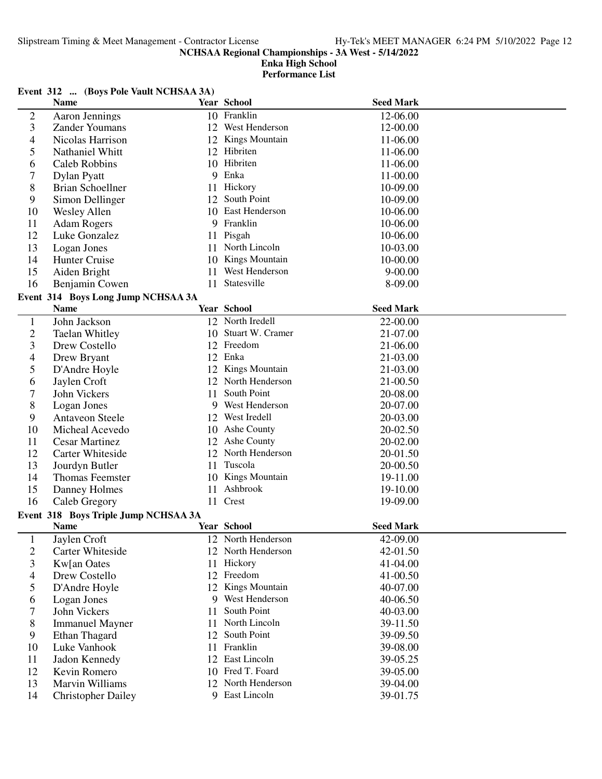# **Enka High School Performance List**

# **Event 312 ... (Boys Pole Vault NCHSAA 3A)**

|                | <b>Name</b>                          |    | <b>Year School</b>  | <b>Seed Mark</b> |  |
|----------------|--------------------------------------|----|---------------------|------------------|--|
| $\mathfrak{2}$ | Aaron Jennings                       |    | 10 Franklin         | 12-06.00         |  |
| 3              | <b>Zander Youmans</b>                |    | 12 West Henderson   | 12-00.00         |  |
| 4              | Nicolas Harrison                     |    | 12 Kings Mountain   | 11-06.00         |  |
| 5              | <b>Nathaniel Whitt</b>               |    | 12 Hibriten         | 11-06.00         |  |
| 6              | <b>Caleb Robbins</b>                 |    | 10 Hibriten         | 11-06.00         |  |
| 7              | Dylan Pyatt                          |    | 9 Enka              | 11-00.00         |  |
| 8              | <b>Brian Schoellner</b>              | 11 | Hickory             | 10-09.00         |  |
| 9              | Simon Dellinger                      | 12 | South Point         | 10-09.00         |  |
| 10             | <b>Wesley Allen</b>                  | 10 | East Henderson      | 10-06.00         |  |
| 11             | <b>Adam Rogers</b>                   |    | 9 Franklin          | 10-06.00         |  |
| 12             | Luke Gonzalez                        |    | 11 Pisgah           | 10-06.00         |  |
| 13             | Logan Jones                          | 11 | North Lincoln       | 10-03.00         |  |
| 14             | Hunter Cruise                        |    | 10 Kings Mountain   | 10-00.00         |  |
| 15             | Aiden Bright                         | 11 | West Henderson      | $9 - 00.00$      |  |
| 16             | Benjamin Cowen                       | 11 | Statesville         | 8-09.00          |  |
|                | Event 314 Boys Long Jump NCHSAA 3A   |    |                     |                  |  |
|                | <b>Name</b>                          |    | Year School         | <b>Seed Mark</b> |  |
| $\mathbf{1}$   | John Jackson                         |    | 12 North Iredell    | 22-00.00         |  |
| $\overline{c}$ | Taelan Whitley                       |    | 10 Stuart W. Cramer | 21-07.00         |  |
| 3              | Drew Costello                        |    | 12 Freedom          | 21-06.00         |  |
| 4              | Drew Bryant                          |    | 12 Enka             | 21-03.00         |  |
| 5              | D'Andre Hoyle                        |    | 12 Kings Mountain   | 21-03.00         |  |
| 6              | Jaylen Croft                         |    | 12 North Henderson  | 21-00.50         |  |
| 7              | John Vickers                         | 11 | South Point         | 20-08.00         |  |
| 8              | Logan Jones                          | 9  | West Henderson      | 20-07.00         |  |
| 9              | <b>Antaveon Steele</b>               |    | 12 West Iredell     | 20-03.00         |  |
| 10             | Micheal Acevedo                      |    | 10 Ashe County      | 20-02.50         |  |
| 11             | <b>Cesar Martinez</b>                |    | 12 Ashe County      | 20-02.00         |  |
| 12             | <b>Carter Whiteside</b>              | 12 | North Henderson     | 20-01.50         |  |
| 13             | Jourdyn Butler                       | 11 | Tuscola             | 20-00.50         |  |
| 14             | Thomas Feemster                      |    | 10 Kings Mountain   | 19-11.00         |  |
| 15             | Danney Holmes                        | 11 | Ashbrook            | 19-10.00         |  |
| 16             | Caleb Gregory                        | 11 | Crest               | 19-09.00         |  |
|                | Event 318 Boys Triple Jump NCHSAA 3A |    |                     |                  |  |
|                | <b>Name</b>                          |    | Year School         | <b>Seed Mark</b> |  |
| $\mathbf{1}$   | Jaylen Croft                         |    | 12 North Henderson  | 42-09.00         |  |
| 2              | <b>Carter Whiteside</b>              |    | 12 North Henderson  | 42-01.50         |  |
| 3              | Kw[an Oates                          |    | 11 Hickory          | 41-04.00         |  |
| 4              | Drew Costello                        |    | 12 Freedom          | 41-00.50         |  |
| 5              | D'Andre Hoyle                        |    | 12 Kings Mountain   | 40-07.00         |  |
| 6              | Logan Jones                          |    | 9 West Henderson    | 40-06.50         |  |
| 7              | John Vickers                         | 11 | South Point         | 40-03.00         |  |
| 8              | <b>Immanuel Mayner</b>               | 11 | North Lincoln       | 39-11.50         |  |
| 9              | Ethan Thagard                        |    | 12 South Point      | 39-09.50         |  |
| 10             | Luke Vanhook                         |    | 11 Franklin         | 39-08.00         |  |
| 11             | Jadon Kennedy                        |    | 12 East Lincoln     | 39-05.25         |  |
| 12             | Kevin Romero                         |    | 10 Fred T. Foard    | 39-05.00         |  |
| 13             | <b>Marvin Williams</b>               |    | 12 North Henderson  | 39-04.00         |  |
| 14             | <b>Christopher Dailey</b>            |    | 9 East Lincoln      | 39-01.75         |  |
|                |                                      |    |                     |                  |  |